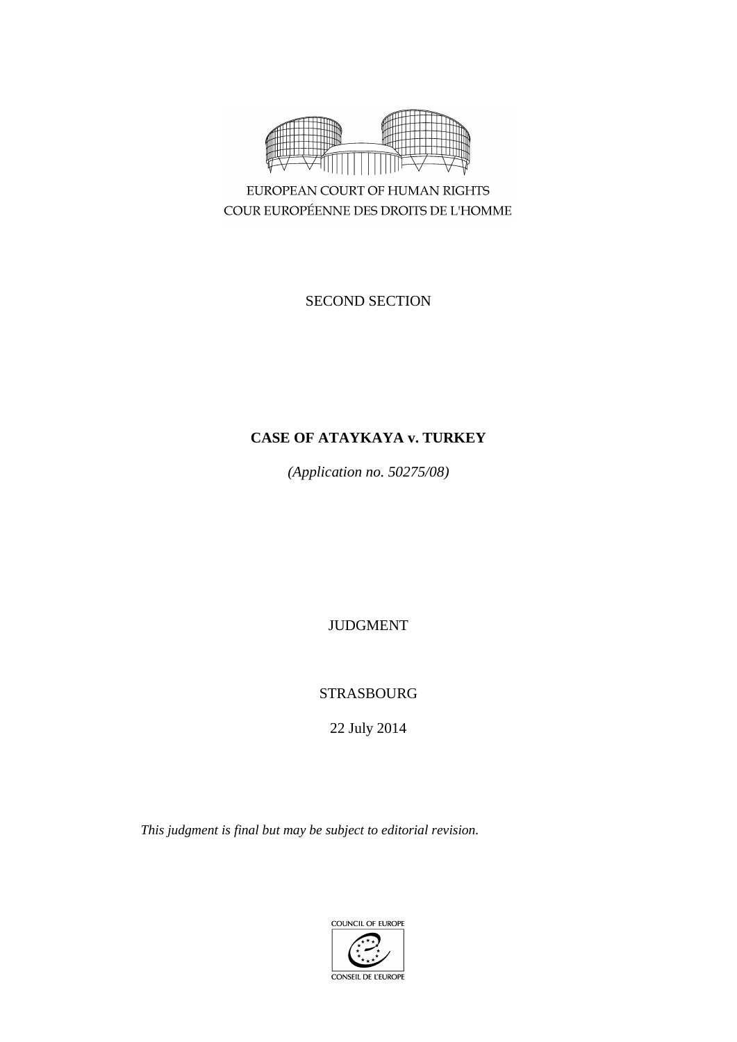

EUROPEAN COURT OF HUMAN RIGHTS COUR EUROPÉENNE DES DROITS DE L'HOMME

SECOND SECTION

## **CASE OF ATAYKAYA v. TURKEY**

*(Application no. 50275/08)*

JUDGMENT

# STRASBOURG

22 July 2014

*This judgment is final but may be subject to editorial revision.*

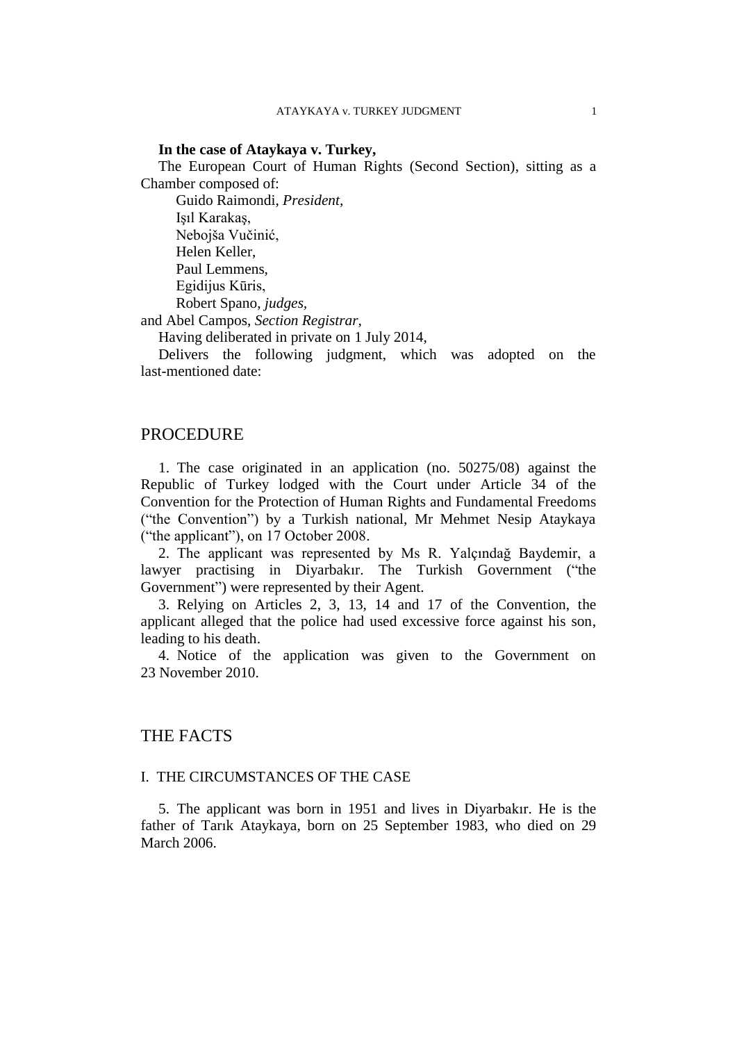#### **In the case of Ataykaya v. Turkey,**

The European Court of Human Rights (Second Section), sitting as a Chamber composed of:

Guido Raimondi, *President,* Işıl Karakaş, Nebojša Vučinić, Helen Keller, Paul Lemmens, Egidijus Kūris, Robert Spano, *judges,* and Abel Campos, *Section Registrar,*

Having deliberated in private on 1 July 2014,

Delivers the following judgment, which was adopted on the last-mentioned date:

## **PROCEDURE**

1. The case originated in an application (no. 50275/08) against the Republic of Turkey lodged with the Court under Article 34 of the Convention for the Protection of Human Rights and Fundamental Freedoms ("the Convention") by a Turkish national, Mr Mehmet Nesip Ataykaya ("the applicant"), on 17 October 2008.

2. The applicant was represented by Ms R. Yalçındağ Baydemir, a lawyer practising in Diyarbakır. The Turkish Government ("the Government") were represented by their Agent.

3. Relying on Articles 2, 3, 13, 14 and 17 of the Convention, the applicant alleged that the police had used excessive force against his son, leading to his death.

4. Notice of the application was given to the Government on 23 November 2010.

## THE FACTS

## I. THE CIRCUMSTANCES OF THE CASE

5. The applicant was born in 1951 and lives in Diyarbakır. He is the father of Tarık Ataykaya, born on 25 September 1983, who died on 29 March 2006.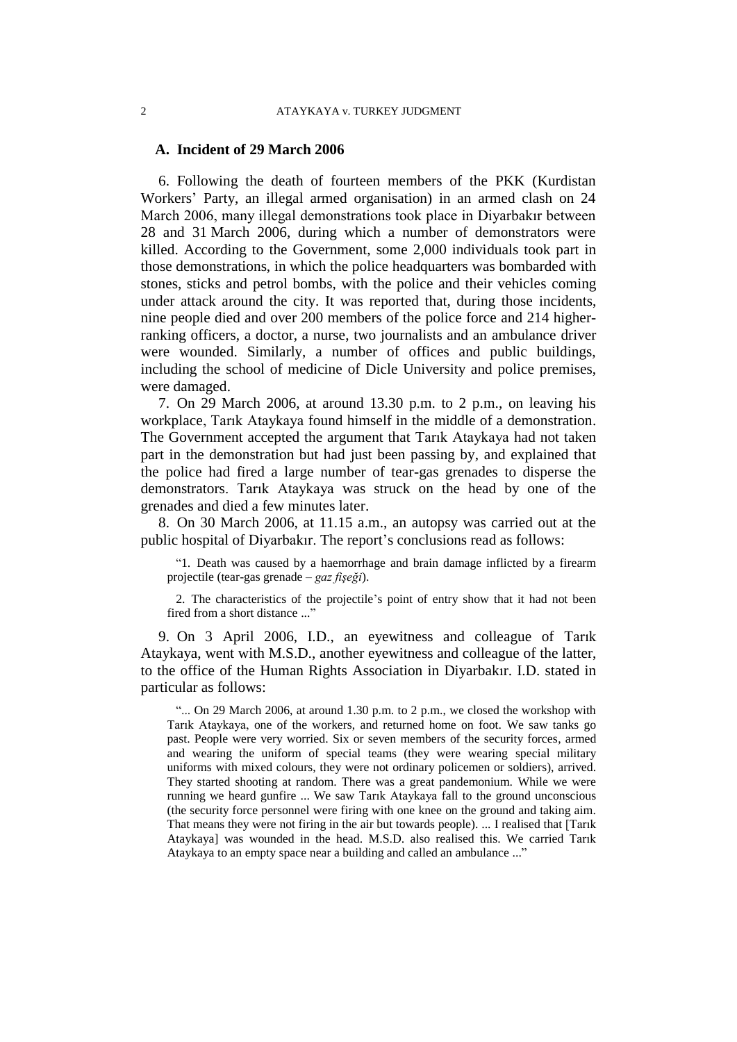#### **A. Incident of 29 March 2006**

6. Following the death of fourteen members of the PKK (Kurdistan Workers' Party, an illegal armed organisation) in an armed clash on 24 March 2006, many illegal demonstrations took place in Diyarbakır between 28 and 31 March 2006, during which a number of demonstrators were killed. According to the Government, some 2,000 individuals took part in those demonstrations, in which the police headquarters was bombarded with stones, sticks and petrol bombs, with the police and their vehicles coming under attack around the city. It was reported that, during those incidents, nine people died and over 200 members of the police force and 214 higherranking officers, a doctor, a nurse, two journalists and an ambulance driver were wounded. Similarly, a number of offices and public buildings, including the school of medicine of Dicle University and police premises, were damaged.

7. On 29 March 2006, at around 13.30 p.m. to 2 p.m., on leaving his workplace, Tarık Ataykaya found himself in the middle of a demonstration. The Government accepted the argument that Tarık Ataykaya had not taken part in the demonstration but had just been passing by, and explained that the police had fired a large number of tear-gas grenades to disperse the demonstrators. Tarık Ataykaya was struck on the head by one of the grenades and died a few minutes later.

8. On 30 March 2006, at 11.15 a.m., an autopsy was carried out at the public hospital of Diyarbakır. The report's conclusions read as follows:

"1. Death was caused by a haemorrhage and brain damage inflicted by a firearm projectile (tear-gas grenade – *gaz fişeği*).

2. The characteristics of the projectile's point of entry show that it had not been fired from a short distance ..."

9. On 3 April 2006, I.D., an eyewitness and colleague of Tarık Ataykaya, went with M.S.D., another eyewitness and colleague of the latter, to the office of the Human Rights Association in Diyarbakır. I.D. stated in particular as follows:

"... On 29 March 2006, at around 1.30 p.m. to 2 p.m., we closed the workshop with Tarık Ataykaya, one of the workers, and returned home on foot. We saw tanks go past. People were very worried. Six or seven members of the security forces, armed and wearing the uniform of special teams (they were wearing special military uniforms with mixed colours, they were not ordinary policemen or soldiers), arrived. They started shooting at random. There was a great pandemonium. While we were running we heard gunfire ... We saw Tarık Ataykaya fall to the ground unconscious (the security force personnel were firing with one knee on the ground and taking aim. That means they were not firing in the air but towards people). ... I realised that [Tarık Ataykaya] was wounded in the head. M.S.D. also realised this. We carried Tarık Ataykaya to an empty space near a building and called an ambulance ..."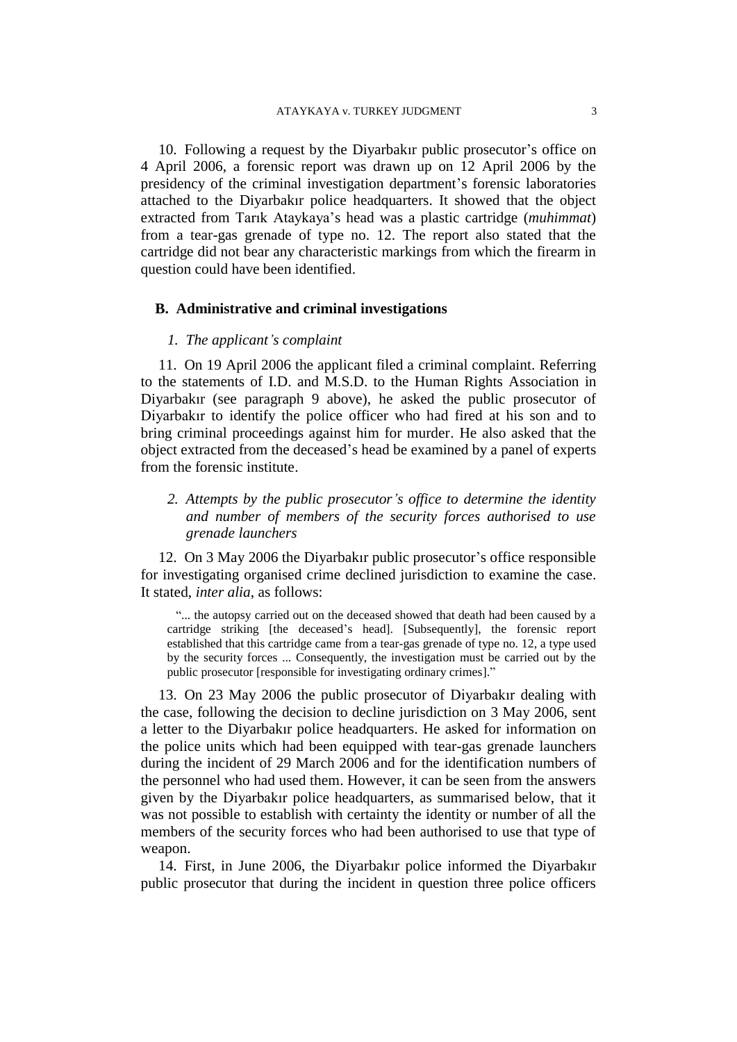10. Following a request by the Diyarbakır public prosecutor's office on 4 April 2006, a forensic report was drawn up on 12 April 2006 by the presidency of the criminal investigation department's forensic laboratories attached to the Diyarbakır police headquarters. It showed that the object extracted from Tarık Ataykaya's head was a plastic cartridge (*muhimmat*) from a tear-gas grenade of type no. 12. The report also stated that the cartridge did not bear any characteristic markings from which the firearm in question could have been identified.

#### **B. Administrative and criminal investigations**

#### *1. The applicant's complaint*

11. On 19 April 2006 the applicant filed a criminal complaint. Referring to the statements of I.D. and M.S.D. to the Human Rights Association in Diyarbakır (see paragraph 9 above), he asked the public prosecutor of Diyarbakır to identify the police officer who had fired at his son and to bring criminal proceedings against him for murder. He also asked that the object extracted from the deceased's head be examined by a panel of experts from the forensic institute.

*2. Attempts by the public prosecutor's office to determine the identity and number of members of the security forces authorised to use grenade launchers*

12. On 3 May 2006 the Diyarbakır public prosecutor's office responsible for investigating organised crime declined jurisdiction to examine the case. It stated, *inter alia*, as follows:

"... the autopsy carried out on the deceased showed that death had been caused by a cartridge striking [the deceased's head]. [Subsequently], the forensic report established that this cartridge came from a tear-gas grenade of type no. 12, a type used by the security forces ... Consequently, the investigation must be carried out by the public prosecutor [responsible for investigating ordinary crimes]."

13. On 23 May 2006 the public prosecutor of Diyarbakır dealing with the case, following the decision to decline jurisdiction on 3 May 2006, sent a letter to the Diyarbakır police headquarters. He asked for information on the police units which had been equipped with tear-gas grenade launchers during the incident of 29 March 2006 and for the identification numbers of the personnel who had used them. However, it can be seen from the answers given by the Diyarbakır police headquarters, as summarised below, that it was not possible to establish with certainty the identity or number of all the members of the security forces who had been authorised to use that type of weapon.

14. First, in June 2006, the Diyarbakır police informed the Diyarbakır public prosecutor that during the incident in question three police officers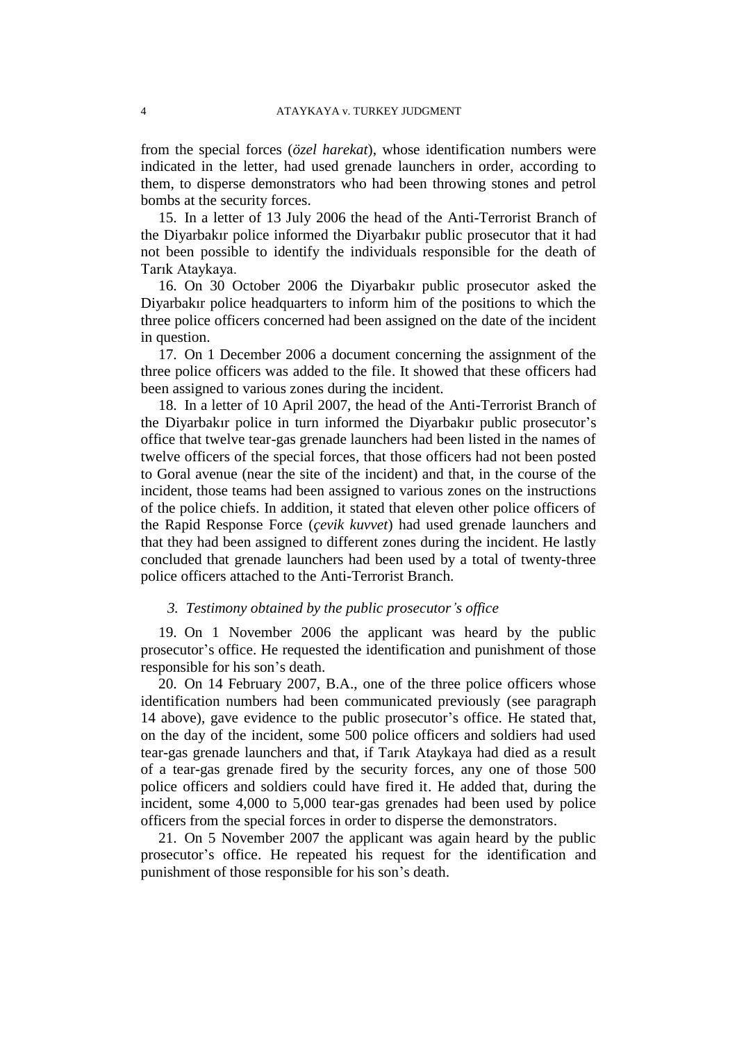from the special forces (*özel harekat*), whose identification numbers were indicated in the letter, had used grenade launchers in order, according to them, to disperse demonstrators who had been throwing stones and petrol bombs at the security forces.

15. In a letter of 13 July 2006 the head of the Anti-Terrorist Branch of the Diyarbakır police informed the Diyarbakır public prosecutor that it had not been possible to identify the individuals responsible for the death of Tarık Ataykaya.

16. On 30 October 2006 the Diyarbakır public prosecutor asked the Diyarbakır police headquarters to inform him of the positions to which the three police officers concerned had been assigned on the date of the incident in question.

17. On 1 December 2006 a document concerning the assignment of the three police officers was added to the file. It showed that these officers had been assigned to various zones during the incident.

18. In a letter of 10 April 2007, the head of the Anti-Terrorist Branch of the Diyarbakır police in turn informed the Diyarbakır public prosecutor's office that twelve tear-gas grenade launchers had been listed in the names of twelve officers of the special forces, that those officers had not been posted to Goral avenue (near the site of the incident) and that, in the course of the incident, those teams had been assigned to various zones on the instructions of the police chiefs. In addition, it stated that eleven other police officers of the Rapid Response Force (*çevik kuvvet*) had used grenade launchers and that they had been assigned to different zones during the incident. He lastly concluded that grenade launchers had been used by a total of twenty-three police officers attached to the Anti-Terrorist Branch.

## *3. Testimony obtained by the public prosecutor's office*

19. On 1 November 2006 the applicant was heard by the public prosecutor's office. He requested the identification and punishment of those responsible for his son's death.

20. On 14 February 2007, B.A., one of the three police officers whose identification numbers had been communicated previously (see paragraph 14 above), gave evidence to the public prosecutor's office. He stated that, on the day of the incident, some 500 police officers and soldiers had used tear-gas grenade launchers and that, if Tarık Ataykaya had died as a result of a tear-gas grenade fired by the security forces, any one of those 500 police officers and soldiers could have fired it. He added that, during the incident, some 4,000 to 5,000 tear-gas grenades had been used by police officers from the special forces in order to disperse the demonstrators.

21. On 5 November 2007 the applicant was again heard by the public prosecutor's office. He repeated his request for the identification and punishment of those responsible for his son's death.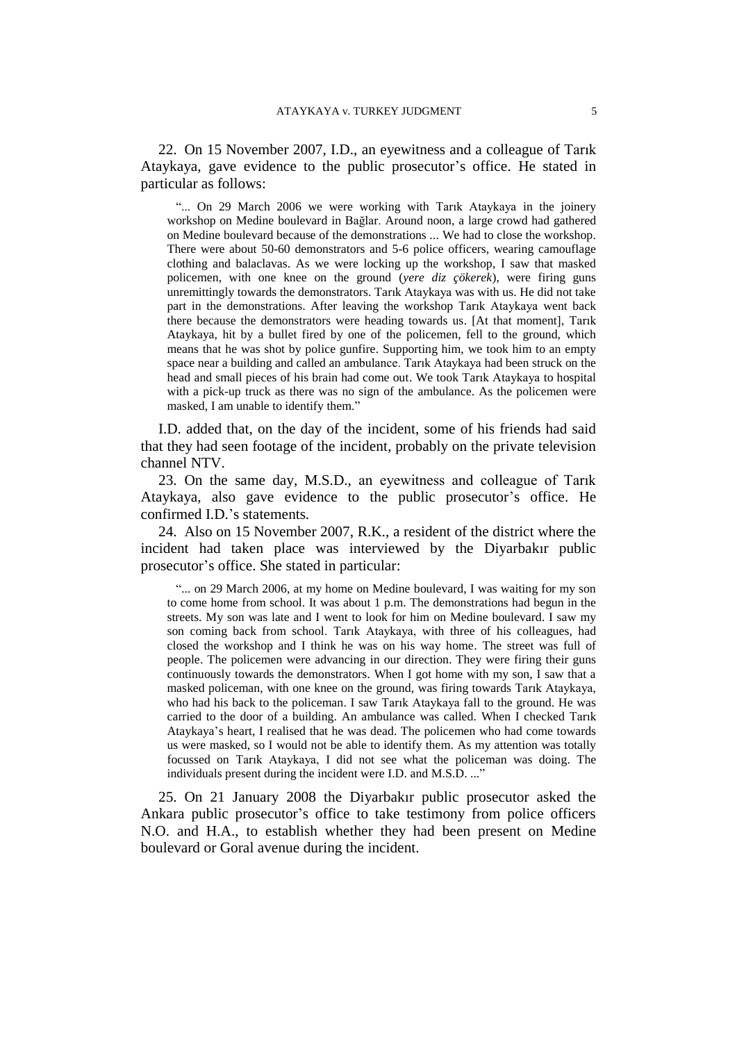22. On 15 November 2007, I.D., an eyewitness and a colleague of Tarık Ataykaya, gave evidence to the public prosecutor's office. He stated in particular as follows:

"... On 29 March 2006 we were working with Tarik Ataykaya in the joinery workshop on Medine boulevard in Bağlar. Around noon, a large crowd had gathered on Medine boulevard because of the demonstrations ... We had to close the workshop. There were about 50-60 demonstrators and 5-6 police officers, wearing camouflage clothing and balaclavas. As we were locking up the workshop, I saw that masked policemen, with one knee on the ground (*yere diz çökerek*), were firing guns unremittingly towards the demonstrators. Tarık Ataykaya was with us. He did not take part in the demonstrations. After leaving the workshop Tarık Ataykaya went back there because the demonstrators were heading towards us. [At that moment], Tarık Ataykaya, hit by a bullet fired by one of the policemen, fell to the ground, which means that he was shot by police gunfire. Supporting him, we took him to an empty space near a building and called an ambulance. Tarık Ataykaya had been struck on the head and small pieces of his brain had come out. We took Tarık Ataykaya to hospital with a pick-up truck as there was no sign of the ambulance. As the policemen were masked, I am unable to identify them."

I.D. added that, on the day of the incident, some of his friends had said that they had seen footage of the incident, probably on the private television channel NTV.

23. On the same day, M.S.D., an eyewitness and colleague of Tarık Ataykaya, also gave evidence to the public prosecutor's office. He confirmed I.D.'s statements.

24. Also on 15 November 2007, R.K., a resident of the district where the incident had taken place was interviewed by the Diyarbakır public prosecutor's office. She stated in particular:

"... on 29 March 2006, at my home on Medine boulevard, I was waiting for my son to come home from school. It was about 1 p.m. The demonstrations had begun in the streets. My son was late and I went to look for him on Medine boulevard. I saw my son coming back from school. Tarık Ataykaya, with three of his colleagues, had closed the workshop and I think he was on his way home. The street was full of people. The policemen were advancing in our direction. They were firing their guns continuously towards the demonstrators. When I got home with my son, I saw that a masked policeman, with one knee on the ground, was firing towards Tarık Ataykaya, who had his back to the policeman. I saw Tarık Ataykaya fall to the ground. He was carried to the door of a building. An ambulance was called. When I checked Tarık Ataykaya's heart, I realised that he was dead. The policemen who had come towards us were masked, so I would not be able to identify them. As my attention was totally focussed on Tarık Ataykaya, I did not see what the policeman was doing. The individuals present during the incident were I.D. and M.S.D. ..."

25. On 21 January 2008 the Diyarbakır public prosecutor asked the Ankara public prosecutor's office to take testimony from police officers N.O. and H.A., to establish whether they had been present on Medine boulevard or Goral avenue during the incident.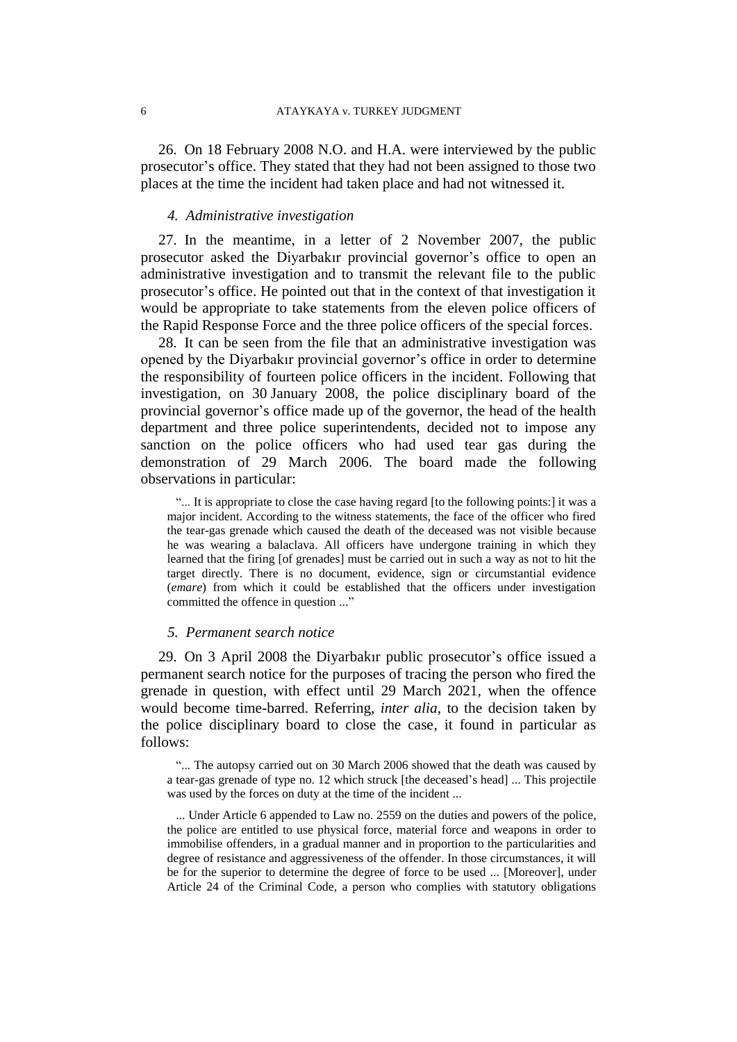26. On 18 February 2008 N.O. and H.A. were interviewed by the public prosecutor's office. They stated that they had not been assigned to those two places at the time the incident had taken place and had not witnessed it.

## *4. Administrative investigation*

27. In the meantime, in a letter of 2 November 2007, the public prosecutor asked the Diyarbakır provincial governor's office to open an administrative investigation and to transmit the relevant file to the public prosecutor's office. He pointed out that in the context of that investigation it would be appropriate to take statements from the eleven police officers of the Rapid Response Force and the three police officers of the special forces.

28. It can be seen from the file that an administrative investigation was opened by the Diyarbakır provincial governor's office in order to determine the responsibility of fourteen police officers in the incident. Following that investigation, on 30 January 2008, the police disciplinary board of the provincial governor's office made up of the governor, the head of the health department and three police superintendents, decided not to impose any sanction on the police officers who had used tear gas during the demonstration of 29 March 2006. The board made the following observations in particular:

"... It is appropriate to close the case having regard [to the following points:] it was a major incident. According to the witness statements, the face of the officer who fired the tear-gas grenade which caused the death of the deceased was not visible because he was wearing a balaclava. All officers have undergone training in which they learned that the firing [of grenades] must be carried out in such a way as not to hit the target directly. There is no document, evidence, sign or circumstantial evidence (*emare*) from which it could be established that the officers under investigation committed the offence in question ..."

### *5. Permanent search notice*

29. On 3 April 2008 the Diyarbakır public prosecutor's office issued a permanent search notice for the purposes of tracing the person who fired the grenade in question, with effect until 29 March 2021, when the offence would become time-barred. Referring, *inter alia*, to the decision taken by the police disciplinary board to close the case, it found in particular as follows:

"... The autopsy carried out on 30 March 2006 showed that the death was caused by a tear-gas grenade of type no. 12 which struck [the deceased's head] ... This projectile was used by the forces on duty at the time of the incident ...

... Under Article 6 appended to Law no. 2559 on the duties and powers of the police, the police are entitled to use physical force, material force and weapons in order to immobilise offenders, in a gradual manner and in proportion to the particularities and degree of resistance and aggressiveness of the offender. In those circumstances, it will be for the superior to determine the degree of force to be used ... [Moreover], under Article 24 of the Criminal Code, a person who complies with statutory obligations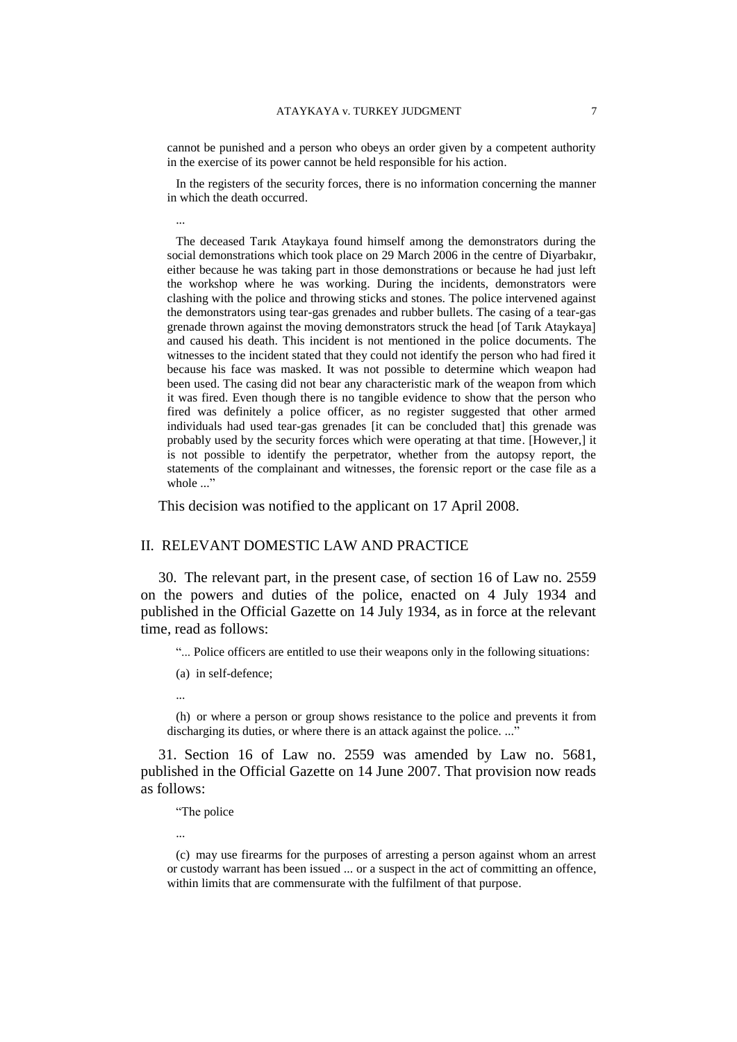cannot be punished and a person who obeys an order given by a competent authority in the exercise of its power cannot be held responsible for his action.

In the registers of the security forces, there is no information concerning the manner in which the death occurred.

...

The deceased Tarık Ataykaya found himself among the demonstrators during the social demonstrations which took place on 29 March 2006 in the centre of Diyarbakır, either because he was taking part in those demonstrations or because he had just left the workshop where he was working. During the incidents, demonstrators were clashing with the police and throwing sticks and stones. The police intervened against the demonstrators using tear-gas grenades and rubber bullets. The casing of a tear-gas grenade thrown against the moving demonstrators struck the head [of Tarık Ataykaya] and caused his death. This incident is not mentioned in the police documents. The witnesses to the incident stated that they could not identify the person who had fired it because his face was masked. It was not possible to determine which weapon had been used. The casing did not bear any characteristic mark of the weapon from which it was fired. Even though there is no tangible evidence to show that the person who fired was definitely a police officer, as no register suggested that other armed individuals had used tear-gas grenades [it can be concluded that] this grenade was probably used by the security forces which were operating at that time. [However,] it is not possible to identify the perpetrator, whether from the autopsy report, the statements of the complainant and witnesses, the forensic report or the case file as a whole ..."

This decision was notified to the applicant on 17 April 2008.

#### II. RELEVANT DOMESTIC LAW AND PRACTICE

30. The relevant part, in the present case, of section 16 of Law no. 2559 on the powers and duties of the police, enacted on 4 July 1934 and published in the Official Gazette on 14 July 1934, as in force at the relevant time, read as follows:

"... Police officers are entitled to use their weapons only in the following situations:

- (a) in self-defence;
- ...

(h) or where a person or group shows resistance to the police and prevents it from discharging its duties, or where there is an attack against the police. ..."

31. Section 16 of Law no. 2559 was amended by Law no. 5681, published in the Official Gazette on 14 June 2007. That provision now reads as follows:

"The police

...

<sup>(</sup>c) may use firearms for the purposes of arresting a person against whom an arrest or custody warrant has been issued ... or a suspect in the act of committing an offence, within limits that are commensurate with the fulfilment of that purpose.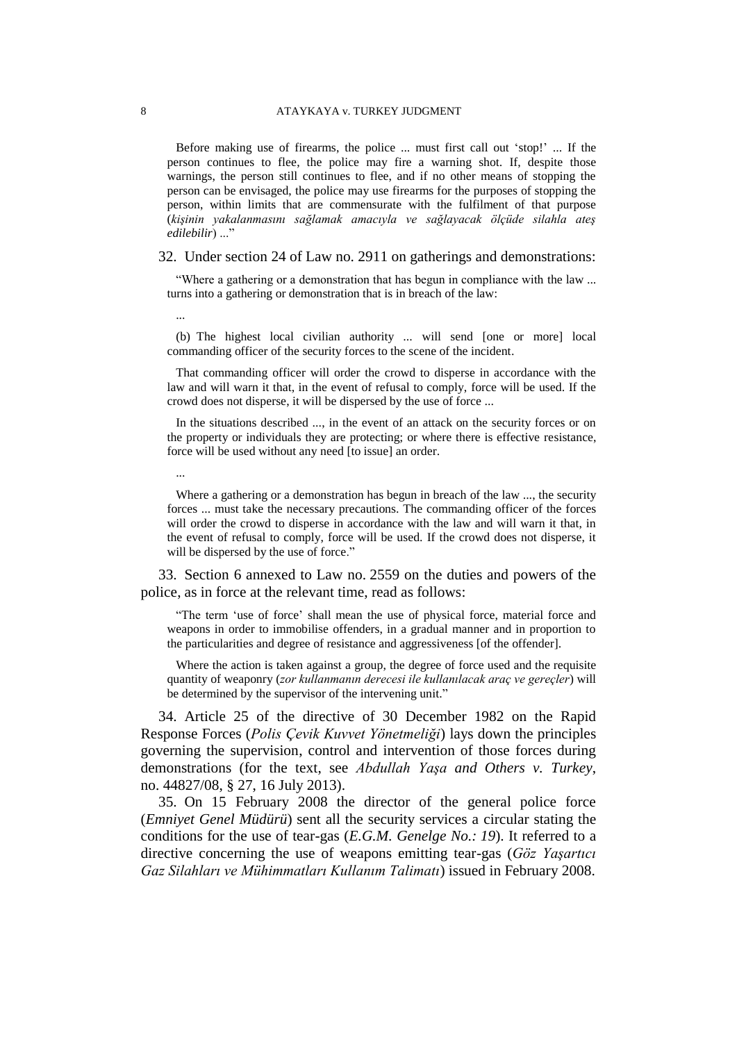#### 8 ATAYKAYA v. TURKEY JUDGMENT

Before making use of firearms, the police ... must first call out 'stop!' ... If the person continues to flee, the police may fire a warning shot. If, despite those warnings, the person still continues to flee, and if no other means of stopping the person can be envisaged, the police may use firearms for the purposes of stopping the person, within limits that are commensurate with the fulfilment of that purpose (*kişinin yakalanmasını sağlamak amacıyla ve sağlayacak ölçüde silahla ateş edilebilir*) ..."

32. Under section 24 of Law no. 2911 on gatherings and demonstrations:

"Where a gathering or a demonstration that has begun in compliance with the law ... turns into a gathering or demonstration that is in breach of the law:

...

...

(b) The highest local civilian authority ... will send [one or more] local commanding officer of the security forces to the scene of the incident.

That commanding officer will order the crowd to disperse in accordance with the law and will warn it that, in the event of refusal to comply, force will be used. If the crowd does not disperse, it will be dispersed by the use of force ...

In the situations described ..., in the event of an attack on the security forces or on the property or individuals they are protecting; or where there is effective resistance, force will be used without any need [to issue] an order.

Where a gathering or a demonstration has begun in breach of the law ..., the security forces ... must take the necessary precautions. The commanding officer of the forces will order the crowd to disperse in accordance with the law and will warn it that, in the event of refusal to comply, force will be used. If the crowd does not disperse, it will be dispersed by the use of force."

33. Section 6 annexed to Law no. 2559 on the duties and powers of the police, as in force at the relevant time, read as follows:

"The term 'use of force' shall mean the use of physical force, material force and weapons in order to immobilise offenders, in a gradual manner and in proportion to the particularities and degree of resistance and aggressiveness [of the offender].

Where the action is taken against a group, the degree of force used and the requisite quantity of weaponry (*zor kullanmanın derecesi ile kullanılacak araç ve gereçler*) will be determined by the supervisor of the intervening unit."

34. Article 25 of the directive of 30 December 1982 on the Rapid Response Forces (*Polis Çevik Kuvvet Yönetmeliği*) lays down the principles governing the supervision, control and intervention of those forces during demonstrations (for the text, see *Abdullah Yaşa and Others v. Turkey*, no. 44827/08, § 27, 16 July 2013).

35. On 15 February 2008 the director of the general police force (*Emniyet Genel Müdürü*) sent all the security services a circular stating the conditions for the use of tear-gas (*E.G.M. Genelge No.: 19*). It referred to a directive concerning the use of weapons emitting tear-gas (*Göz Yaşartıcı Gaz Silahları ve Mühimmatları Kullanım Talimatı*) issued in February 2008.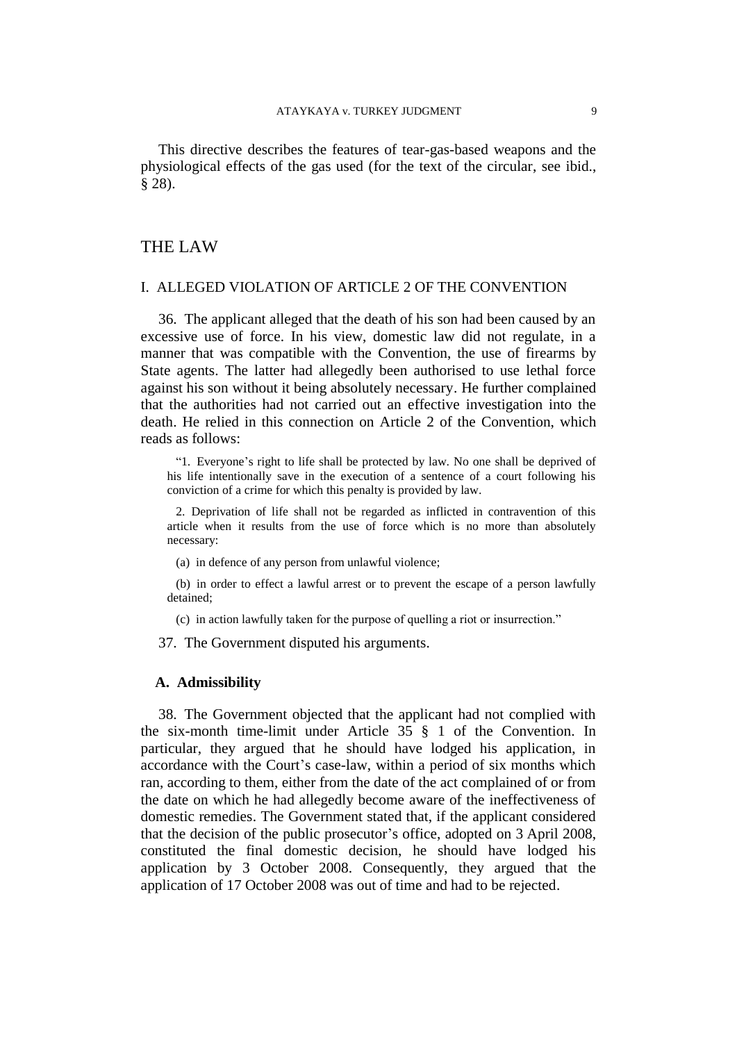This directive describes the features of tear-gas-based weapons and the physiological effects of the gas used (for the text of the circular, see ibid., § 28).

## THE LAW

## I. ALLEGED VIOLATION OF ARTICLE 2 OF THE CONVENTION

36. The applicant alleged that the death of his son had been caused by an excessive use of force. In his view, domestic law did not regulate, in a manner that was compatible with the Convention, the use of firearms by State agents. The latter had allegedly been authorised to use lethal force against his son without it being absolutely necessary. He further complained that the authorities had not carried out an effective investigation into the death. He relied in this connection on Article 2 of the Convention, which reads as follows:

"1. Everyone's right to life shall be protected by law. No one shall be deprived of his life intentionally save in the execution of a sentence of a court following his conviction of a crime for which this penalty is provided by law.

2. Deprivation of life shall not be regarded as inflicted in contravention of this article when it results from the use of force which is no more than absolutely necessary:

(a) in defence of any person from unlawful violence;

(b) in order to effect a lawful arrest or to prevent the escape of a person lawfully detained;

(c) in action lawfully taken for the purpose of quelling a riot or insurrection."

37. The Government disputed his arguments.

#### **A. Admissibility**

38. The Government objected that the applicant had not complied with the six-month time-limit under Article 35 § 1 of the Convention. In particular, they argued that he should have lodged his application, in accordance with the Court's case-law, within a period of six months which ran, according to them, either from the date of the act complained of or from the date on which he had allegedly become aware of the ineffectiveness of domestic remedies. The Government stated that, if the applicant considered that the decision of the public prosecutor's office, adopted on 3 April 2008, constituted the final domestic decision, he should have lodged his application by 3 October 2008. Consequently, they argued that the application of 17 October 2008 was out of time and had to be rejected.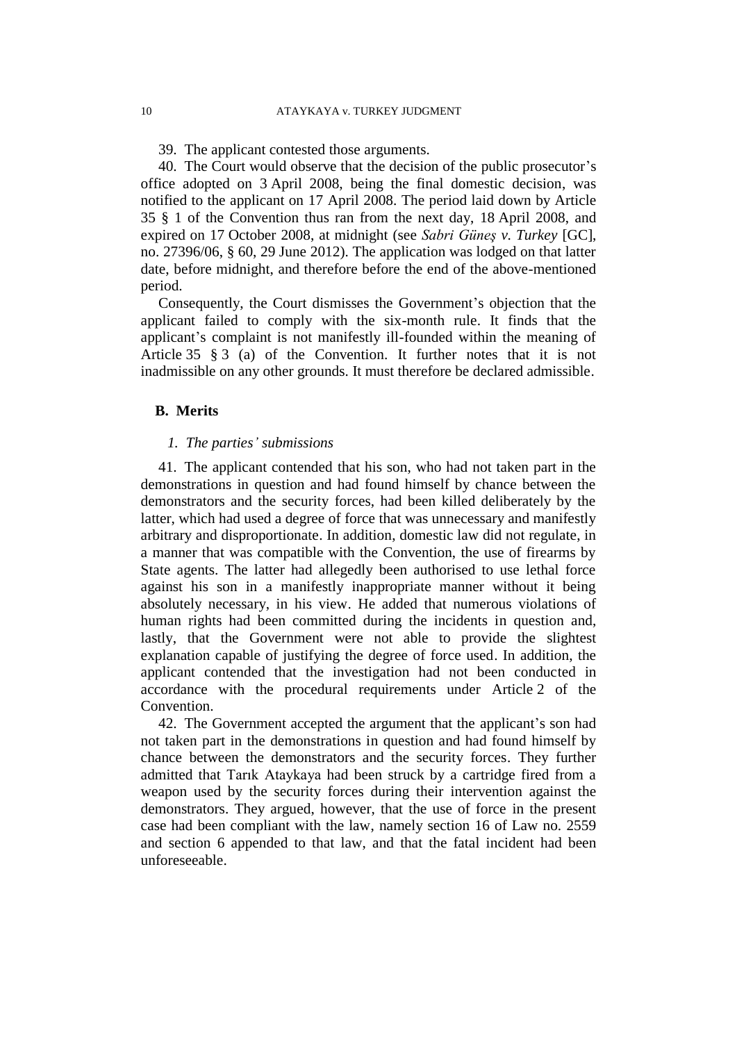39. The applicant contested those arguments.

40. The Court would observe that the decision of the public prosecutor's office adopted on 3 April 2008, being the final domestic decision, was notified to the applicant on 17 April 2008. The period laid down by Article 35 § 1 of the Convention thus ran from the next day, 18 April 2008, and expired on 17 October 2008, at midnight (see *Sabri Güneş v. Turkey* [GC], no. 27396/06, § 60, 29 June 2012). The application was lodged on that latter date, before midnight, and therefore before the end of the above-mentioned period.

Consequently, the Court dismisses the Government's objection that the applicant failed to comply with the six-month rule. It finds that the applicant's complaint is not manifestly ill-founded within the meaning of Article 35 § 3 (a) of the Convention. It further notes that it is not inadmissible on any other grounds. It must therefore be declared admissible.

## **B. Merits**

#### *1. The parties' submissions*

41. The applicant contended that his son, who had not taken part in the demonstrations in question and had found himself by chance between the demonstrators and the security forces, had been killed deliberately by the latter, which had used a degree of force that was unnecessary and manifestly arbitrary and disproportionate. In addition, domestic law did not regulate, in a manner that was compatible with the Convention, the use of firearms by State agents. The latter had allegedly been authorised to use lethal force against his son in a manifestly inappropriate manner without it being absolutely necessary, in his view. He added that numerous violations of human rights had been committed during the incidents in question and, lastly, that the Government were not able to provide the slightest explanation capable of justifying the degree of force used. In addition, the applicant contended that the investigation had not been conducted in accordance with the procedural requirements under Article 2 of the Convention.

42. The Government accepted the argument that the applicant's son had not taken part in the demonstrations in question and had found himself by chance between the demonstrators and the security forces. They further admitted that Tarık Ataykaya had been struck by a cartridge fired from a weapon used by the security forces during their intervention against the demonstrators. They argued, however, that the use of force in the present case had been compliant with the law, namely section 16 of Law no. 2559 and section 6 appended to that law, and that the fatal incident had been unforeseeable.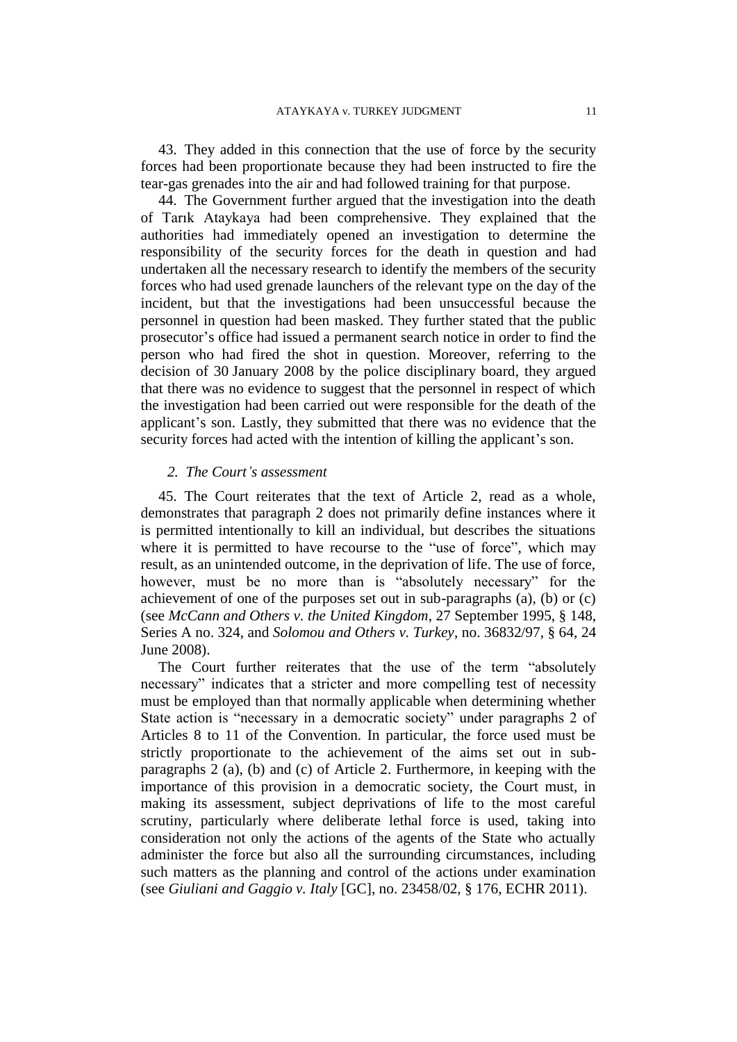43. They added in this connection that the use of force by the security forces had been proportionate because they had been instructed to fire the tear-gas grenades into the air and had followed training for that purpose.

44. The Government further argued that the investigation into the death of Tarık Ataykaya had been comprehensive. They explained that the authorities had immediately opened an investigation to determine the responsibility of the security forces for the death in question and had undertaken all the necessary research to identify the members of the security forces who had used grenade launchers of the relevant type on the day of the incident, but that the investigations had been unsuccessful because the personnel in question had been masked. They further stated that the public prosecutor's office had issued a permanent search notice in order to find the person who had fired the shot in question. Moreover, referring to the decision of 30 January 2008 by the police disciplinary board, they argued that there was no evidence to suggest that the personnel in respect of which the investigation had been carried out were responsible for the death of the applicant's son. Lastly, they submitted that there was no evidence that the security forces had acted with the intention of killing the applicant's son.

### *2. The Court's assessment*

45. The Court reiterates that the text of Article 2, read as a whole, demonstrates that paragraph 2 does not primarily define instances where it is permitted intentionally to kill an individual, but describes the situations where it is permitted to have recourse to the "use of force", which may result, as an unintended outcome, in the deprivation of life. The use of force, however, must be no more than is "absolutely necessary" for the achievement of one of the purposes set out in sub-paragraphs (a), (b) or (c) (see *McCann and Others v. the United Kingdom*, 27 September 1995, § 148, Series A no. 324, and *Solomou and Others v. Turkey*, no. 36832/97, § 64, 24 June 2008).

The Court further reiterates that the use of the term "absolutely necessary" indicates that a stricter and more compelling test of necessity must be employed than that normally applicable when determining whether State action is "necessary in a democratic society" under paragraphs 2 of Articles 8 to 11 of the Convention. In particular, the force used must be strictly proportionate to the achievement of the aims set out in subparagraphs 2 (a), (b) and (c) of Article 2. Furthermore, in keeping with the importance of this provision in a democratic society, the Court must, in making its assessment, subject deprivations of life to the most careful scrutiny, particularly where deliberate lethal force is used, taking into consideration not only the actions of the agents of the State who actually administer the force but also all the surrounding circumstances, including such matters as the planning and control of the actions under examination (see *Giuliani and Gaggio v. Italy* [GC], no. [23458/02,](http://hudoc.echr.coe.int/sites/eng/Pages/search.aspx#{"appno":["23458/02"]}) § 176, ECHR 2011).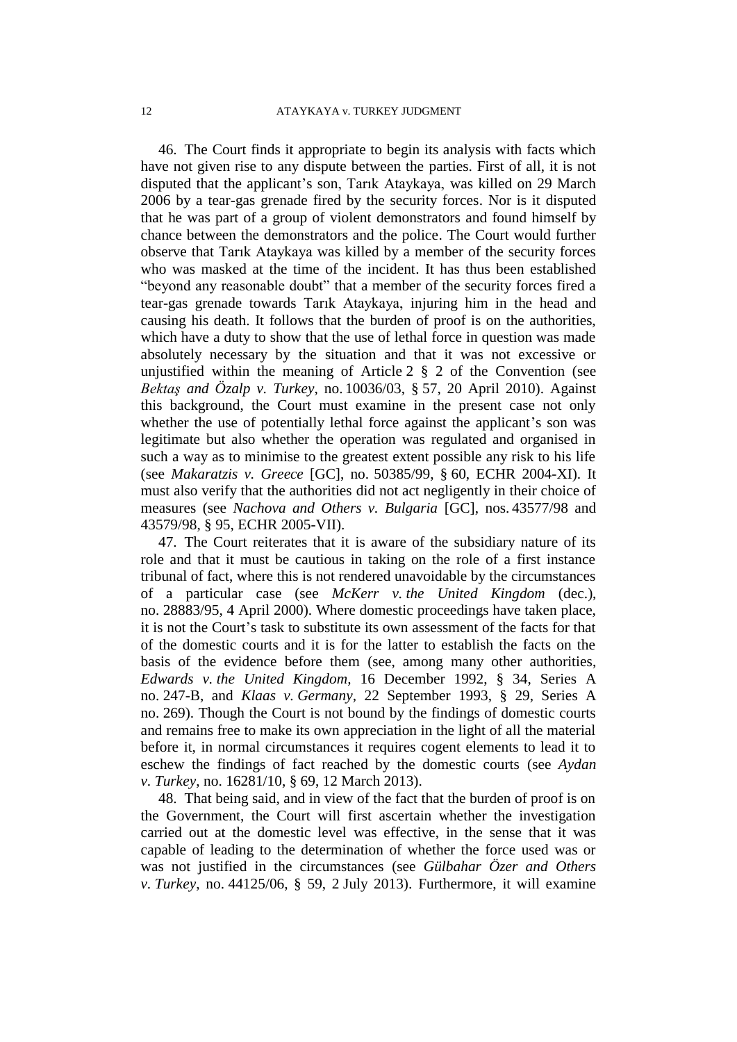46. The Court finds it appropriate to begin its analysis with facts which have not given rise to any dispute between the parties. First of all, it is not disputed that the applicant's son, Tarık Ataykaya, was killed on 29 March 2006 by a tear-gas grenade fired by the security forces. Nor is it disputed that he was part of a group of violent demonstrators and found himself by chance between the demonstrators and the police. The Court would further observe that Tarık Ataykaya was killed by a member of the security forces who was masked at the time of the incident. It has thus been established "beyond any reasonable doubt" that a member of the security forces fired a tear-gas grenade towards Tarık Ataykaya, injuring him in the head and causing his death. It follows that the burden of proof is on the authorities, which have a duty to show that the use of lethal force in question was made absolutely necessary by the situation and that it was not excessive or unjustified within the meaning of Article  $2 \S 2$  of the Convention (see *Bektaş and Özalp v. Turkey*, no. 10036/03, § 57, 20 April 2010). Against this background, the Court must examine in the present case not only whether the use of potentially lethal force against the applicant's son was legitimate but also whether the operation was regulated and organised in such a way as to minimise to the greatest extent possible any risk to his life (see *Makaratzis v. Greece* [GC], no. 50385/99, § 60, ECHR 2004-XI). It must also verify that the authorities did not act negligently in their choice of measures (see *Nachova and Others v. Bulgaria* [GC], nos. 43577/98 and 43579/98, § 95, ECHR 2005-VII).

47. The Court reiterates that it is aware of the subsidiary nature of its role and that it must be cautious in taking on the role of a first instance tribunal of fact, where this is not rendered unavoidable by the circumstances of a particular case (see *McKerr v. the United Kingdom* (dec.), no. 28883/95, 4 April 2000). Where domestic proceedings have taken place, it is not the Court's task to substitute its own assessment of the facts for that of the domestic courts and it is for the latter to establish the facts on the basis of the evidence before them (see, among many other authorities, *Edwards v. the United Kingdom,* 16 December 1992, § 34, Series A no. 247-B, and *Klaas v. Germany,* 22 September 1993, § 29, Series A no. 269). Though the Court is not bound by the findings of domestic courts and remains free to make its own appreciation in the light of all the material before it, in normal circumstances it requires cogent elements to lead it to eschew the findings of fact reached by the domestic courts (see *Aydan v. Turkey*, no. 16281/10, § 69, 12 March 2013).

48. That being said, and in view of the fact that the burden of proof is on the Government, the Court will first ascertain whether the investigation carried out at the domestic level was effective, in the sense that it was capable of leading to the determination of whether the force used was or was not justified in the circumstances (see *Gülbahar Özer and Others v. Turkey*, no. 44125/06, § 59, 2 July 2013). Furthermore, it will examine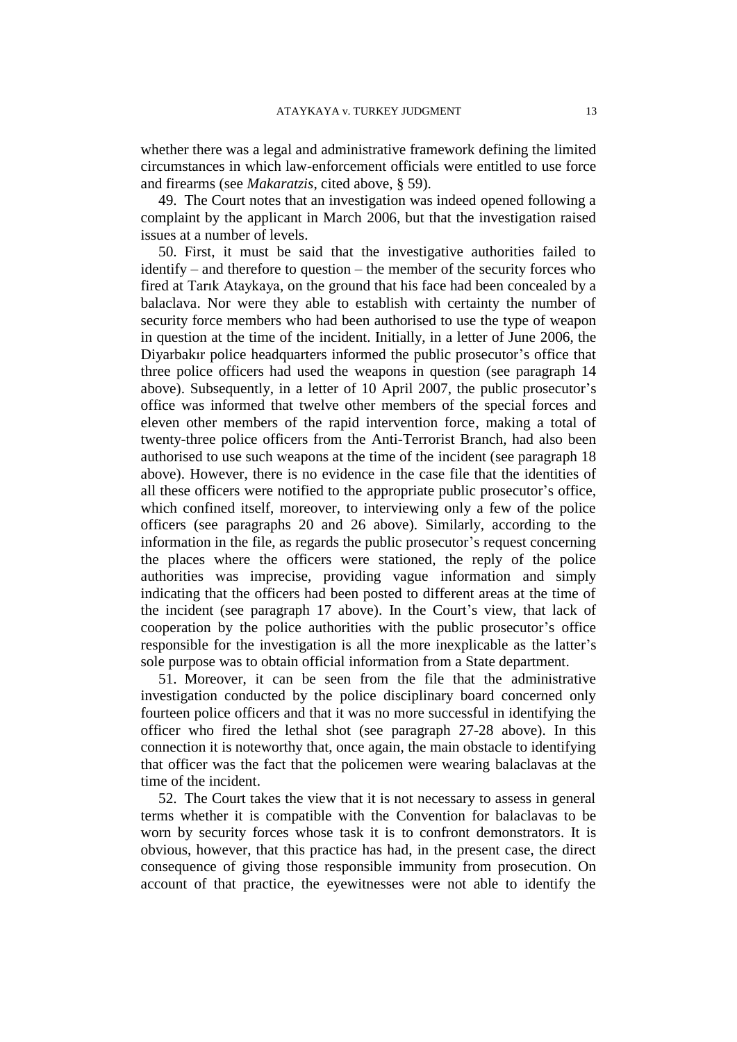whether there was a legal and administrative framework defining the limited circumstances in which law-enforcement officials were entitled to use force and firearms (see *Makaratzis*, cited above, § 59).

49. The Court notes that an investigation was indeed opened following a complaint by the applicant in March 2006, but that the investigation raised issues at a number of levels.

50. First, it must be said that the investigative authorities failed to identify – and therefore to question – the member of the security forces who fired at Tarık Ataykaya, on the ground that his face had been concealed by a balaclava. Nor were they able to establish with certainty the number of security force members who had been authorised to use the type of weapon in question at the time of the incident. Initially, in a letter of June 2006, the Diyarbakır police headquarters informed the public prosecutor's office that three police officers had used the weapons in question (see paragraph 14 above). Subsequently, in a letter of 10 April 2007, the public prosecutor's office was informed that twelve other members of the special forces and eleven other members of the rapid intervention force, making a total of twenty-three police officers from the Anti-Terrorist Branch, had also been authorised to use such weapons at the time of the incident (see paragraph 18 above). However, there is no evidence in the case file that the identities of all these officers were notified to the appropriate public prosecutor's office, which confined itself, moreover, to interviewing only a few of the police officers (see paragraphs 20 and 26 above). Similarly, according to the information in the file, as regards the public prosecutor's request concerning the places where the officers were stationed, the reply of the police authorities was imprecise, providing vague information and simply indicating that the officers had been posted to different areas at the time of the incident (see paragraph 17 above). In the Court's view, that lack of cooperation by the police authorities with the public prosecutor's office responsible for the investigation is all the more inexplicable as the latter's sole purpose was to obtain official information from a State department.

51. Moreover, it can be seen from the file that the administrative investigation conducted by the police disciplinary board concerned only fourteen police officers and that it was no more successful in identifying the officer who fired the lethal shot (see paragraph 27-28 above). In this connection it is noteworthy that, once again, the main obstacle to identifying that officer was the fact that the policemen were wearing balaclavas at the time of the incident.

52. The Court takes the view that it is not necessary to assess in general terms whether it is compatible with the Convention for balaclavas to be worn by security forces whose task it is to confront demonstrators. It is obvious, however, that this practice has had, in the present case, the direct consequence of giving those responsible immunity from prosecution. On account of that practice, the eyewitnesses were not able to identify the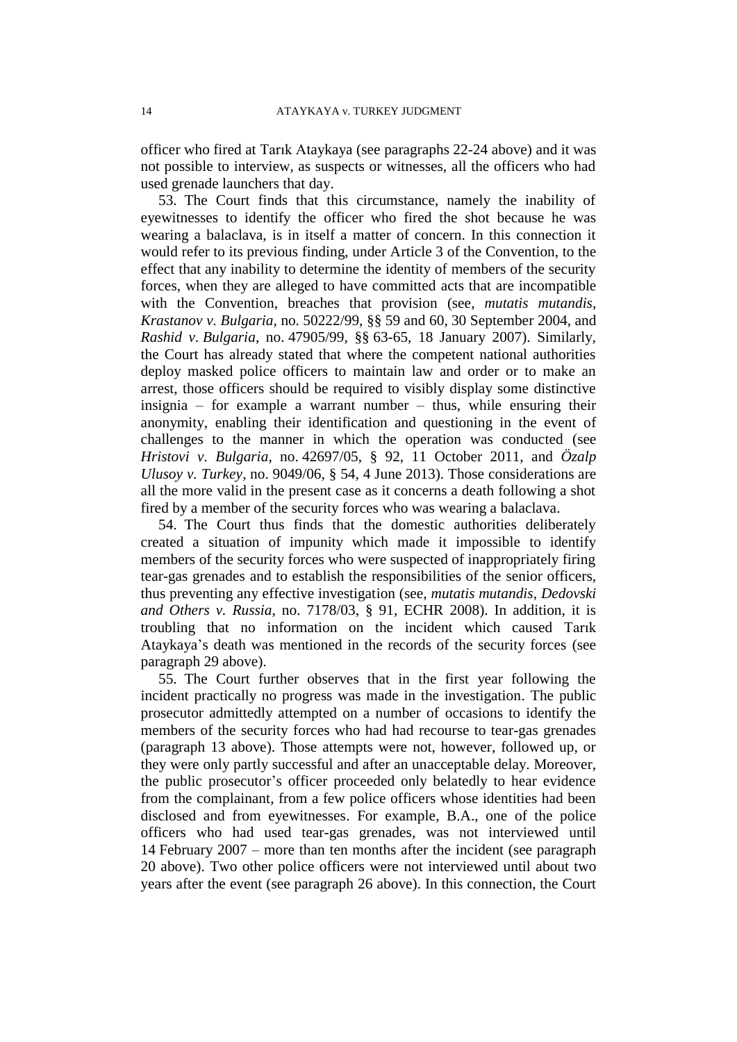officer who fired at Tarık Ataykaya (see paragraphs 22-24 above) and it was not possible to interview, as suspects or witnesses, all the officers who had used grenade launchers that day.

53. The Court finds that this circumstance, namely the inability of eyewitnesses to identify the officer who fired the shot because he was wearing a balaclava, is in itself a matter of concern. In this connection it would refer to its previous finding, under Article 3 of the Convention, to the effect that any inability to determine the identity of members of the security forces, when they are alleged to have committed acts that are incompatible with the Convention, breaches that provision (see, *mutatis mutandis*, *Krastanov v. Bulgaria,* no. 50222/99, §§ 59 and 60, 30 September 2004, and *Rashid v. Bulgaria*, no. 47905/99, §§ 63-65, 18 January 2007). Similarly, the Court has already stated that where the competent national authorities deploy masked police officers to maintain law and order or to make an arrest, those officers should be required to visibly display some distinctive insignia – for example a warrant number – thus, while ensuring their anonymity, enabling their identification and questioning in the event of challenges to the manner in which the operation was conducted (see *Hristovi v. Bulgaria*, no. 42697/05, § 92, 11 October 2011, and *Özalp Ulusoy v. Turkey*, no. 9049/06, § 54, 4 June 2013). Those considerations are all the more valid in the present case as it concerns a death following a shot fired by a member of the security forces who was wearing a balaclava.

54. The Court thus finds that the domestic authorities deliberately created a situation of impunity which made it impossible to identify members of the security forces who were suspected of inappropriately firing tear-gas grenades and to establish the responsibilities of the senior officers, thus preventing any effective investigation (see, *mutatis mutandis*, *Dedovski and Others v. Russia*, no. 7178/03, § 91, ECHR 2008). In addition, it is troubling that no information on the incident which caused Tarık Ataykaya's death was mentioned in the records of the security forces (see paragraph 29 above).

55. The Court further observes that in the first year following the incident practically no progress was made in the investigation. The public prosecutor admittedly attempted on a number of occasions to identify the members of the security forces who had had recourse to tear-gas grenades (paragraph 13 above). Those attempts were not, however, followed up, or they were only partly successful and after an unacceptable delay. Moreover, the public prosecutor's officer proceeded only belatedly to hear evidence from the complainant, from a few police officers whose identities had been disclosed and from eyewitnesses. For example, B.A., one of the police officers who had used tear-gas grenades, was not interviewed until 14 February 2007 – more than ten months after the incident (see paragraph 20 above). Two other police officers were not interviewed until about two years after the event (see paragraph 26 above). In this connection, the Court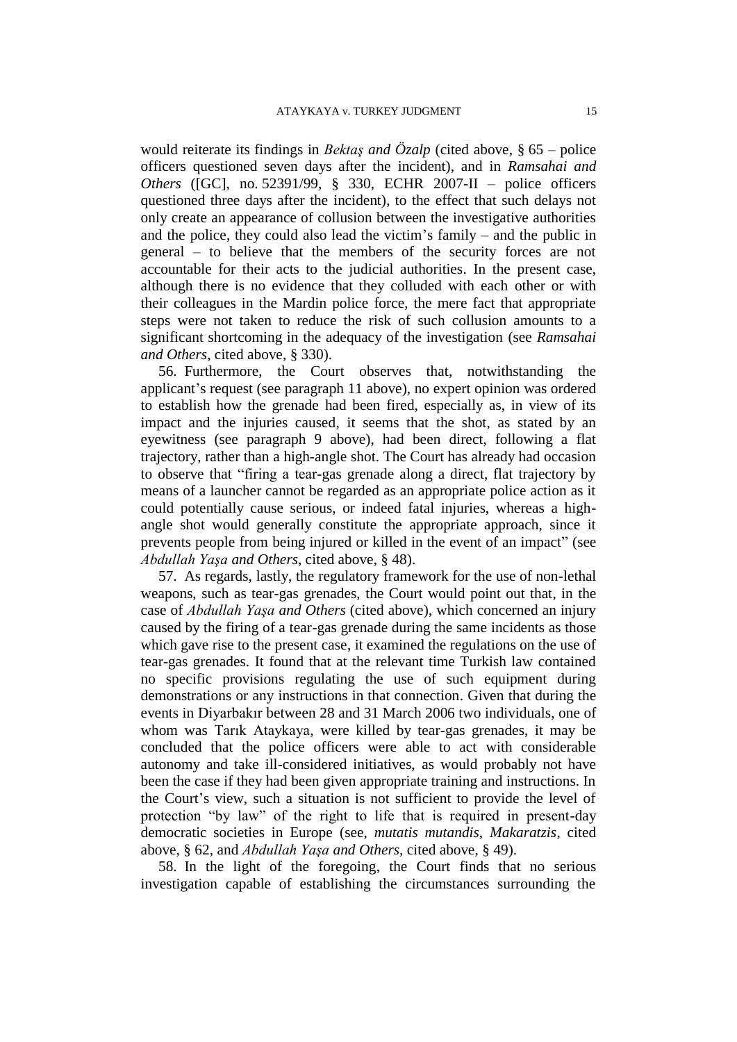would reiterate its findings in *Bektaş and Özalp* (cited above, § 65 – police officers questioned seven days after the incident), and in *Ramsahai and Others* ([GC], no. 52391/99, § 330, ECHR 2007-II – police officers questioned three days after the incident), to the effect that such delays not only create an appearance of collusion between the investigative authorities and the police, they could also lead the victim's family – and the public in general – to believe that the members of the security forces are not accountable for their acts to the judicial authorities. In the present case, although there is no evidence that they colluded with each other or with their colleagues in the Mardin police force, the mere fact that appropriate steps were not taken to reduce the risk of such collusion amounts to a significant shortcoming in the adequacy of the investigation (see *Ramsahai and Others*, cited above, § 330).

56. Furthermore, the Court observes that, notwithstanding the applicant's request (see paragraph 11 above), no expert opinion was ordered to establish how the grenade had been fired, especially as, in view of its impact and the injuries caused, it seems that the shot, as stated by an eyewitness (see paragraph 9 above), had been direct, following a flat trajectory, rather than a high-angle shot. The Court has already had occasion to observe that "firing a tear-gas grenade along a direct, flat trajectory by means of a launcher cannot be regarded as an appropriate police action as it could potentially cause serious, or indeed fatal injuries, whereas a highangle shot would generally constitute the appropriate approach, since it prevents people from being injured or killed in the event of an impact" (see *Abdullah Yaşa and Others*, cited above, § 48).

57. As regards, lastly, the regulatory framework for the use of non-lethal weapons, such as tear-gas grenades, the Court would point out that, in the case of *Abdullah Yaşa and Others* (cited above), which concerned an injury caused by the firing of a tear-gas grenade during the same incidents as those which gave rise to the present case, it examined the regulations on the use of tear-gas grenades. It found that at the relevant time Turkish law contained no specific provisions regulating the use of such equipment during demonstrations or any instructions in that connection. Given that during the events in Diyarbakır between 28 and 31 March 2006 two individuals, one of whom was Tarık Ataykaya, were killed by tear-gas grenades, it may be concluded that the police officers were able to act with considerable autonomy and take ill-considered initiatives, as would probably not have been the case if they had been given appropriate training and instructions. In the Court's view, such a situation is not sufficient to provide the level of protection "by law" of the right to life that is required in present-day democratic societies in Europe (see, *mutatis mutandis, Makaratzis*, cited above, § 62, and *Abdullah Yaşa and Others,* cited above, § 49).

58. In the light of the foregoing, the Court finds that no serious investigation capable of establishing the circumstances surrounding the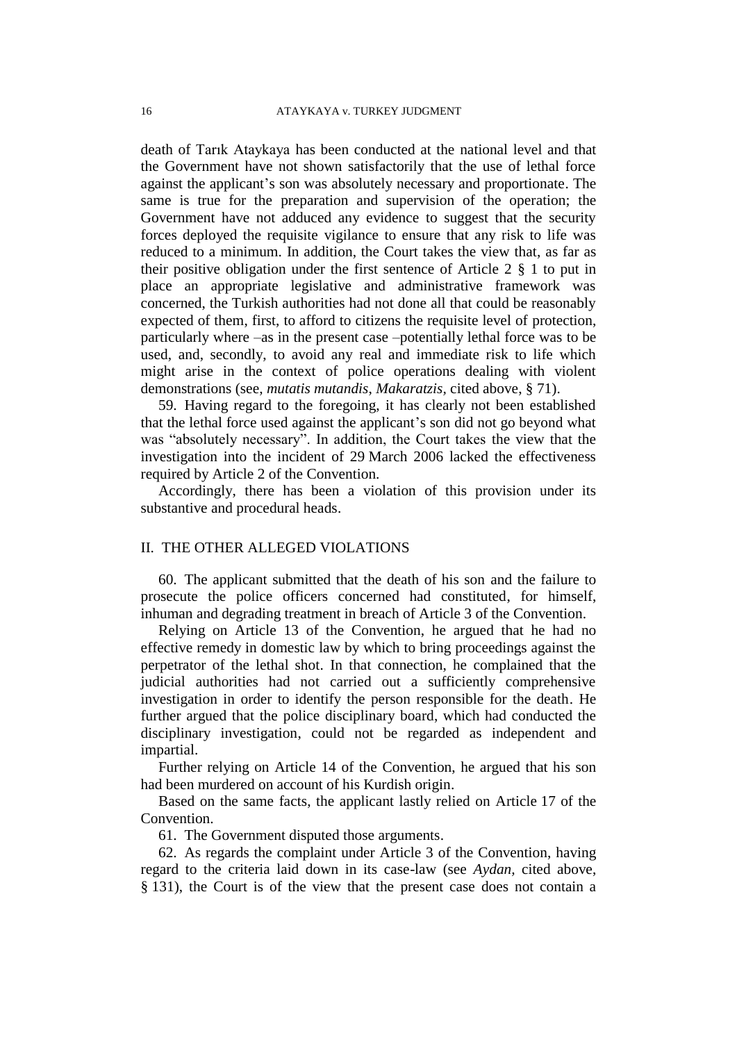death of Tarık Ataykaya has been conducted at the national level and that the Government have not shown satisfactorily that the use of lethal force against the applicant's son was absolutely necessary and proportionate. The same is true for the preparation and supervision of the operation; the Government have not adduced any evidence to suggest that the security forces deployed the requisite vigilance to ensure that any risk to life was reduced to a minimum. In addition, the Court takes the view that, as far as their positive obligation under the first sentence of Article 2 § 1 to put in place an appropriate legislative and administrative framework was concerned, the Turkish authorities had not done all that could be reasonably expected of them, first, to afford to citizens the requisite level of protection, particularly where –as in the present case –potentially lethal force was to be used, and, secondly, to avoid any real and immediate risk to life which might arise in the context of police operations dealing with violent demonstrations (see, *mutatis mutandis*, *Makaratzis,* cited above, § 71).

59. Having regard to the foregoing, it has clearly not been established that the lethal force used against the applicant's son did not go beyond what was "absolutely necessary". In addition, the Court takes the view that the investigation into the incident of 29 March 2006 lacked the effectiveness required by Article 2 of the Convention.

Accordingly, there has been a violation of this provision under its substantive and procedural heads.

## II. THE OTHER ALLEGED VIOLATIONS

60. The applicant submitted that the death of his son and the failure to prosecute the police officers concerned had constituted, for himself, inhuman and degrading treatment in breach of Article 3 of the Convention.

Relying on Article 13 of the Convention, he argued that he had no effective remedy in domestic law by which to bring proceedings against the perpetrator of the lethal shot. In that connection, he complained that the judicial authorities had not carried out a sufficiently comprehensive investigation in order to identify the person responsible for the death. He further argued that the police disciplinary board, which had conducted the disciplinary investigation, could not be regarded as independent and impartial.

Further relying on Article 14 of the Convention, he argued that his son had been murdered on account of his Kurdish origin.

Based on the same facts, the applicant lastly relied on Article 17 of the Convention.

61. The Government disputed those arguments.

62. As regards the complaint under Article 3 of the Convention, having regard to the criteria laid down in its case-law (see *Aydan,* cited above, § 131), the Court is of the view that the present case does not contain a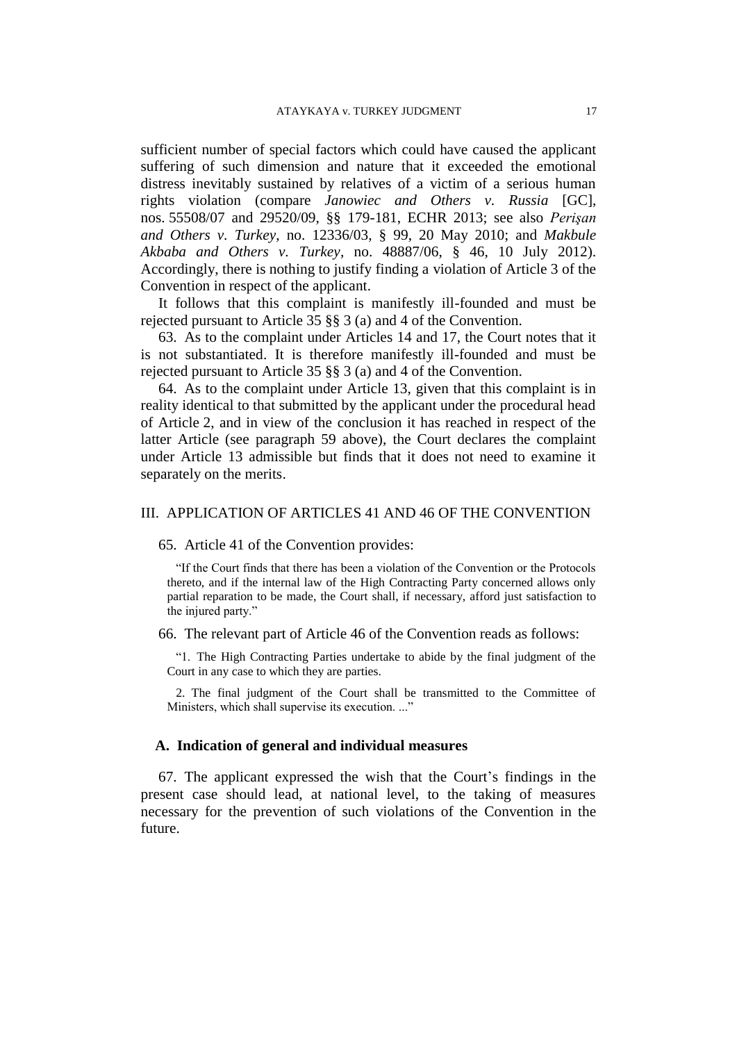sufficient number of special factors which could have caused the applicant suffering of such dimension and nature that it exceeded the emotional distress inevitably sustained by relatives of a victim of a serious human rights violation (compare *Janowiec and Others v. Russia* [GC], nos. 55508/07 and 29520/09, §§ 179-181, ECHR 2013; see also *Perişan and Others v. Turkey*, no. 12336/03, § 99, 20 May 2010; and *Makbule Akbaba and Others v. Turkey,* no. 48887/06, § 46, 10 July 2012). Accordingly, there is nothing to justify finding a violation of Article 3 of the Convention in respect of the applicant.

It follows that this complaint is manifestly ill-founded and must be rejected pursuant to Article 35 §§ 3 (a) and 4 of the Convention.

63. As to the complaint under Articles 14 and 17, the Court notes that it is not substantiated. It is therefore manifestly ill-founded and must be rejected pursuant to Article 35 §§ 3 (a) and 4 of the Convention.

64. As to the complaint under Article 13, given that this complaint is in reality identical to that submitted by the applicant under the procedural head of Article 2, and in view of the conclusion it has reached in respect of the latter Article (see paragraph 59 above), the Court declares the complaint under Article 13 admissible but finds that it does not need to examine it separately on the merits.

## III. APPLICATION OF ARTICLES 41 AND 46 OF THE CONVENTION

65. Article 41 of the Convention provides:

"If the Court finds that there has been a violation of the Convention or the Protocols thereto, and if the internal law of the High Contracting Party concerned allows only partial reparation to be made, the Court shall, if necessary, afford just satisfaction to the injured party."

66. The relevant part of Article 46 of the Convention reads as follows:

"1. The High Contracting Parties undertake to abide by the final judgment of the Court in any case to which they are parties.

2. The final judgment of the Court shall be transmitted to the Committee of Ministers, which shall supervise its execution. ..."

#### **A. Indication of general and individual measures**

67. The applicant expressed the wish that the Court's findings in the present case should lead, at national level, to the taking of measures necessary for the prevention of such violations of the Convention in the future.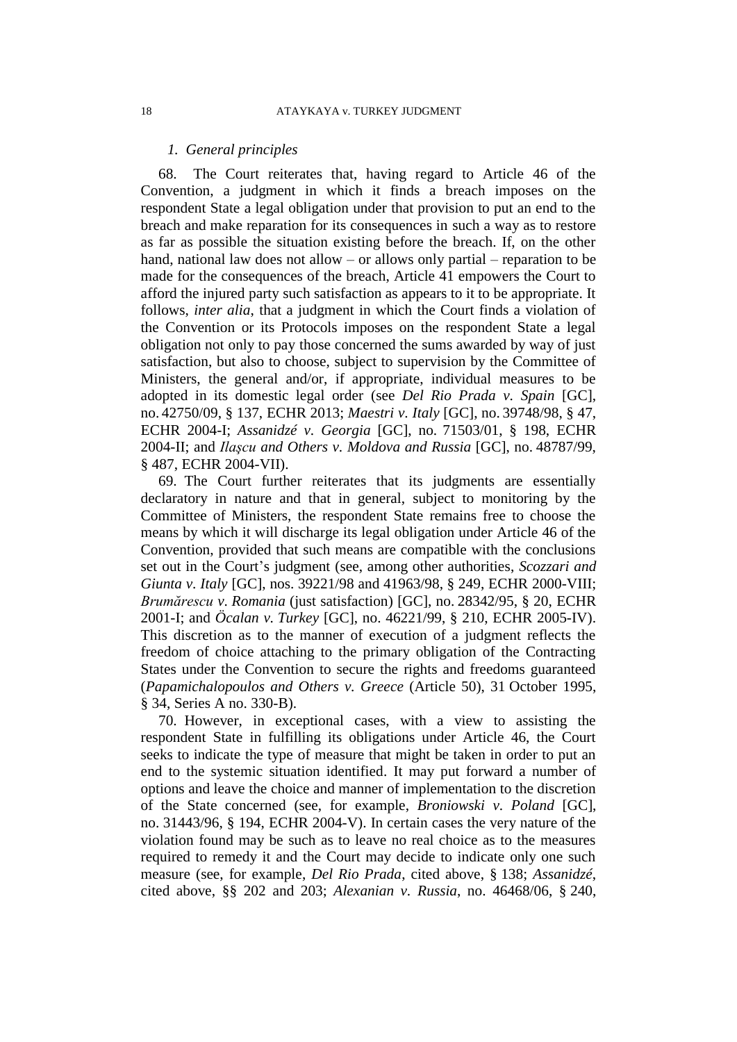#### *1. General principles*

68. The Court reiterates that, having regard to Article 46 of the Convention, a judgment in which it finds a breach imposes on the respondent State a legal obligation under that provision to put an end to the breach and make reparation for its consequences in such a way as to restore as far as possible the situation existing before the breach. If, on the other hand, national law does not allow – or allows only partial – reparation to be made for the consequences of the breach, Article 41 empowers the Court to afford the injured party such satisfaction as appears to it to be appropriate. It follows, *inter alia*, that a judgment in which the Court finds a violation of the Convention or its Protocols imposes on the respondent State a legal obligation not only to pay those concerned the sums awarded by way of just satisfaction, but also to choose, subject to supervision by the Committee of Ministers, the general and/or, if appropriate, individual measures to be adopted in its domestic legal order (see *Del Rio Prada v. Spain* [GC], no. 42750/09, § 137, ECHR 2013; *Maestri v. Italy* [GC], no. 39748/98, § 47, ECHR 2004-I; *Assanidzé v. Georgia* [GC], no. 71503/01, § 198, ECHR 2004-II; and *Ilaşcu and Others v. Moldova and Russia* [GC], no. 48787/99, § 487, ECHR 2004-VII).

69. The Court further reiterates that its judgments are essentially declaratory in nature and that in general, subject to monitoring by the Committee of Ministers, the respondent State remains free to choose the means by which it will discharge its legal obligation under Article 46 of the Convention, provided that such means are compatible with the conclusions set out in the Court's judgment (see, among other authorities, *Scozzari and Giunta v. Italy* [GC], nos. 39221/98 and 41963/98, § 249, ECHR 2000-VIII; *Brumărescu v. Romania* (just satisfaction) [GC], no. 28342/95, § 20, ECHR 2001-I; and *Öcalan v. Turkey* [GC], no. 46221/99, § 210, ECHR 2005-IV). This discretion as to the manner of execution of a judgment reflects the freedom of choice attaching to the primary obligation of the Contracting States under the Convention to secure the rights and freedoms guaranteed (*Papamichalopoulos and Others v. Greece* (Article 50), 31 October 1995, § 34, Series A no. 330-B).

70. However, in exceptional cases, with a view to assisting the respondent State in fulfilling its obligations under Article 46, the Court seeks to indicate the type of measure that might be taken in order to put an end to the systemic situation identified. It may put forward a number of options and leave the choice and manner of implementation to the discretion of the State concerned (see, for example, *Broniowski v. Poland* [GC], no. 31443/96, § 194, ECHR 2004-V). In certain cases the very nature of the violation found may be such as to leave no real choice as to the measures required to remedy it and the Court may decide to indicate only one such measure (see, for example, *Del Rio Prada*, cited above, § 138; *Assanidzé*, cited above, §§ 202 and 203; *Alexanian v. Russia*, no. 46468/06, § 240,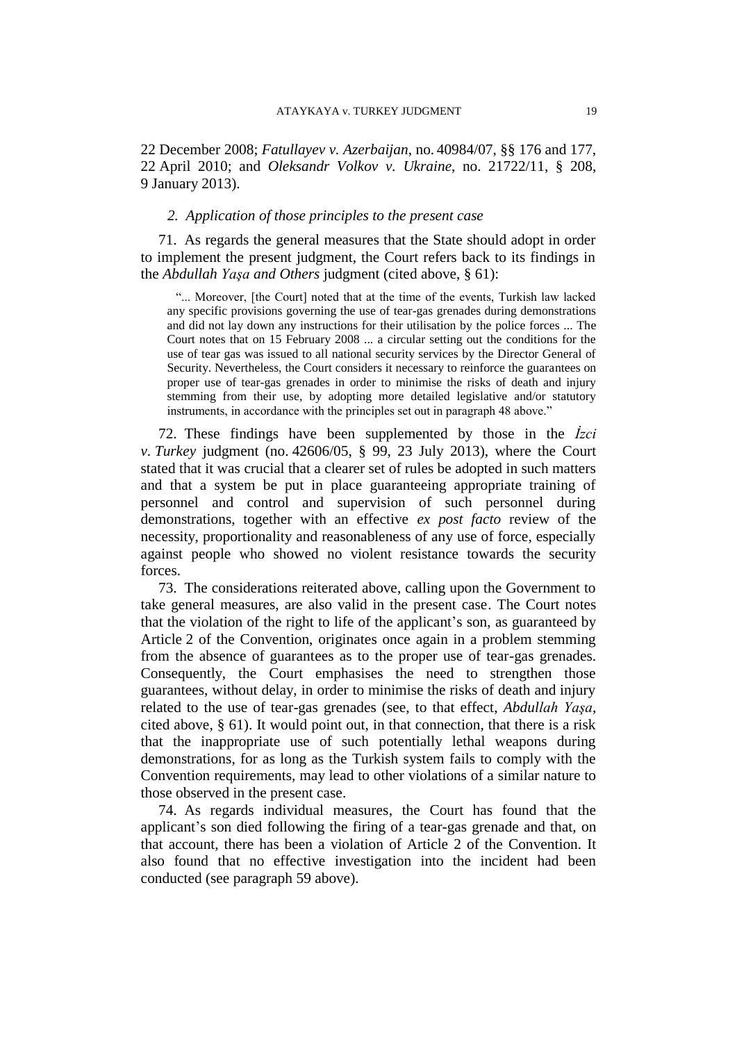22 December 2008; *Fatullayev v. Azerbaijan*, no. 40984/07, §§ 176 and 177, 22 April 2010; and *Oleksandr Volkov v. Ukraine*, no. 21722/11, § 208, 9 January 2013).

## *2. Application of those principles to the present case*

71. As regards the general measures that the State should adopt in order to implement the present judgment, the Court refers back to its findings in the *Abdullah Yaşa and Others* judgment (cited above, § 61):

"... Moreover, [the Court] noted that at the time of the events, Turkish law lacked any specific provisions governing the use of tear-gas grenades during demonstrations and did not lay down any instructions for their utilisation by the police forces ... The Court notes that on 15 February 2008 ... a circular setting out the conditions for the use of tear gas was issued to all national security services by the Director General of Security. Nevertheless, the Court considers it necessary to reinforce the guarantees on proper use of tear-gas grenades in order to minimise the risks of death and injury stemming from their use, by adopting more detailed legislative and/or statutory instruments, in accordance with the principles set out in paragraph 48 above."

72. These findings have been supplemented by those in the *İzci v. Turkey* judgment (no. 42606/05, § 99, 23 July 2013), where the Court stated that it was crucial that a clearer set of rules be adopted in such matters and that a system be put in place guaranteeing appropriate training of personnel and control and supervision of such personnel during demonstrations, together with an effective *ex post facto* review of the necessity, proportionality and reasonableness of any use of force, especially against people who showed no violent resistance towards the security forces.

73. The considerations reiterated above, calling upon the Government to take general measures, are also valid in the present case. The Court notes that the violation of the right to life of the applicant's son, as guaranteed by Article 2 of the Convention, originates once again in a problem stemming from the absence of guarantees as to the proper use of tear-gas grenades. Consequently, the Court emphasises the need to strengthen those guarantees, without delay, in order to minimise the risks of death and injury related to the use of tear-gas grenades (see, to that effect, *Abdullah Yaşa*, cited above, § 61). It would point out, in that connection, that there is a risk that the inappropriate use of such potentially lethal weapons during demonstrations, for as long as the Turkish system fails to comply with the Convention requirements, may lead to other violations of a similar nature to those observed in the present case.

74. As regards individual measures, the Court has found that the applicant's son died following the firing of a tear-gas grenade and that, on that account, there has been a violation of Article 2 of the Convention. It also found that no effective investigation into the incident had been conducted (see paragraph 59 above).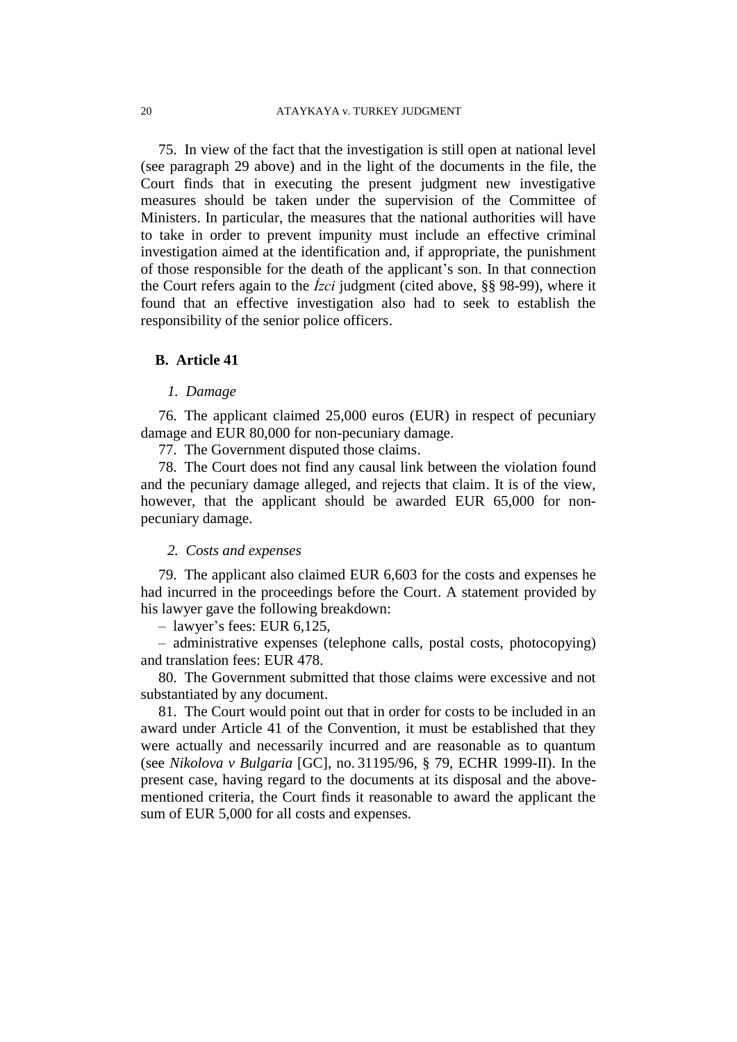75. In view of the fact that the investigation is still open at national level (see paragraph 29 above) and in the light of the documents in the file, the Court finds that in executing the present judgment new investigative measures should be taken under the supervision of the Committee of Ministers. In particular, the measures that the national authorities will have to take in order to prevent impunity must include an effective criminal investigation aimed at the identification and, if appropriate, the punishment of those responsible for the death of the applicant's son. In that connection the Court refers again to the *İzci* judgment (cited above, §§ 98-99), where it found that an effective investigation also had to seek to establish the responsibility of the senior police officers.

#### **B. Article 41**

#### *1. Damage*

76. The applicant claimed 25,000 euros (EUR) in respect of pecuniary damage and EUR 80,000 for non-pecuniary damage.

77. The Government disputed those claims.

78. The Court does not find any causal link between the violation found and the pecuniary damage alleged, and rejects that claim. It is of the view, however, that the applicant should be awarded EUR 65,000 for nonpecuniary damage.

## *2. Costs and expenses*

79. The applicant also claimed EUR 6,603 for the costs and expenses he had incurred in the proceedings before the Court. A statement provided by his lawyer gave the following breakdown:

– lawyer's fees: EUR 6,125,

– administrative expenses (telephone calls, postal costs, photocopying) and translation fees: EUR 478.

80. The Government submitted that those claims were excessive and not substantiated by any document.

81. The Court would point out that in order for costs to be included in an award under Article 41 of the Convention, it must be established that they were actually and necessarily incurred and are reasonable as to quantum (see *Nikolova v Bulgaria* [GC], no. 31195/96, § 79, ECHR 1999-II). In the present case, having regard to the documents at its disposal and the abovementioned criteria, the Court finds it reasonable to award the applicant the sum of EUR 5,000 for all costs and expenses.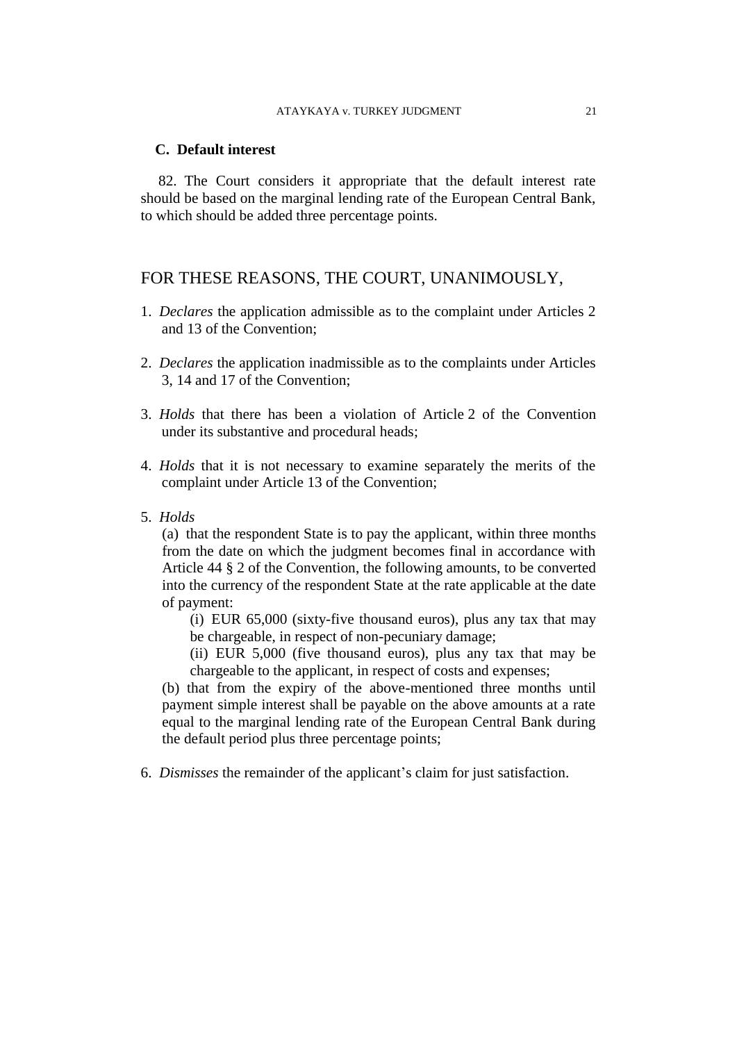#### **C. Default interest**

82. The Court considers it appropriate that the default interest rate should be based on the marginal lending rate of the European Central Bank, to which should be added three percentage points.

## FOR THESE REASONS, THE COURT, UNANIMOUSLY,

- 1. *Declares* the application admissible as to the complaint under Articles 2 and 13 of the Convention;
- 2. *Declares* the application inadmissible as to the complaints under Articles 3, 14 and 17 of the Convention;
- 3. *Holds* that there has been a violation of Article 2 of the Convention under its substantive and procedural heads;
- 4. *Holds* that it is not necessary to examine separately the merits of the complaint under Article 13 of the Convention;
- 5. *Holds*

(a) that the respondent State is to pay the applicant, within three months from the date on which the judgment becomes final in accordance with Article 44 § 2 of the Convention, the following amounts, to be converted into the currency of the respondent State at the rate applicable at the date of payment:

(i) EUR 65,000 (sixty-five thousand euros), plus any tax that may be chargeable, in respect of non-pecuniary damage;

(ii) EUR 5,000 (five thousand euros), plus any tax that may be chargeable to the applicant, in respect of costs and expenses;

(b) that from the expiry of the above-mentioned three months until payment simple interest shall be payable on the above amounts at a rate equal to the marginal lending rate of the European Central Bank during the default period plus three percentage points;

6. *Dismisses* the remainder of the applicant's claim for just satisfaction.